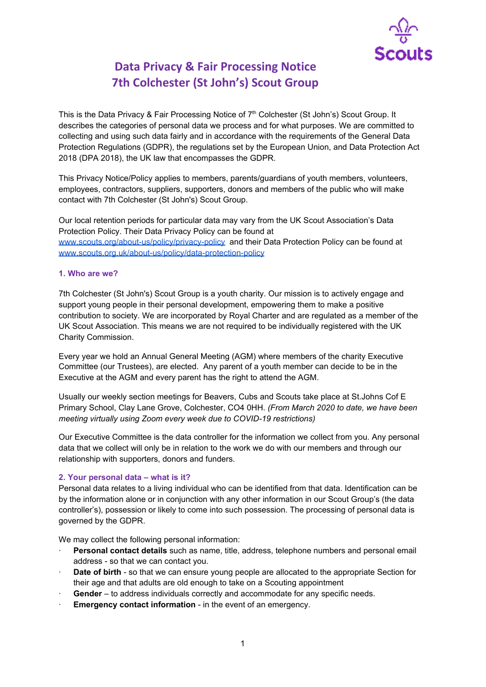

# **Data Privacy & Fair Processing Notice 7th Colchester (St John's) Scout Group**

This is the Data Privacy & Fair Processing Notice of 7<sup>th</sup> Colchester (St John's) Scout Group. It describes the categories of personal data we process and for what purposes. We are committed to collecting and using such data fairly and in accordance with the requirements of the General Data Protection Regulations (GDPR), the regulations set by the European Union, and Data Protection Act 2018 (DPA 2018), the UK law that encompasses the GDPR.

This Privacy Notice/Policy applies to members, parents/guardians of youth members, volunteers, employees, contractors, suppliers, supporters, donors and members of the public who will make contact with 7th Colchester (St John's) Scout Group.

Our local retention periods for particular data may vary from the UK Scout Association's Data Protection Policy. Their Data Privacy Policy can be found at [www.scouts.org/about-us/policy/privacy-policy](http://www.scouts.org/about-us/policy/privacy-policy) and their Data Protection Policy can be found at [www.scouts.org.uk/about-us/policy/data-protection-policy](http://www.scouts.org.uk/about-us/policy/data-protection-policy)

#### **1. Who are we?**

7th Colchester (St John's) Scout Group is a youth charity. Our mission is to actively engage and support young people in their personal development, empowering them to make a positive contribution to society. We are incorporated by Royal Charter and are regulated as a member of the UK Scout Association. This means we are not required to be individually registered with the UK Charity Commission.

Every year we hold an Annual General Meeting (AGM) where members of the charity Executive Committee (our Trustees), are elected. Any parent of a youth member can decide to be in the Executive at the AGM and every parent has the right to attend the AGM.

Usually our weekly section meetings for Beavers, Cubs and Scouts take place at St.Johns Cof E Primary School, Clay Lane Grove, Colchester, CO4 0HH. *(From March 2020 to date, we have been meeting virtually using Zoom every week due to COVID-19 restrictions)*

Our Executive Committee is the data controller for the information we collect from you. Any personal data that we collect will only be in relation to the work we do with our members and through our relationship with supporters, donors and funders.

## **2. Your personal data – what is it?**

Personal data relates to a living individual who can be identified from that data. Identification can be by the information alone or in conjunction with any other information in our Scout Group's (the data controller's), possession or likely to come into such possession. The processing of personal data is governed by the GDPR.

We may collect the following personal information:

- · **Personal contact details** such as name, title, address, telephone numbers and personal email address - so that we can contact you.
- · **Date of birth** so that we can ensure young people are allocated to the appropriate Section for their age and that adults are old enough to take on a Scouting appointment
- Gender to address individuals correctly and accommodate for any specific needs.
- **Emergency contact information** in the event of an emergency.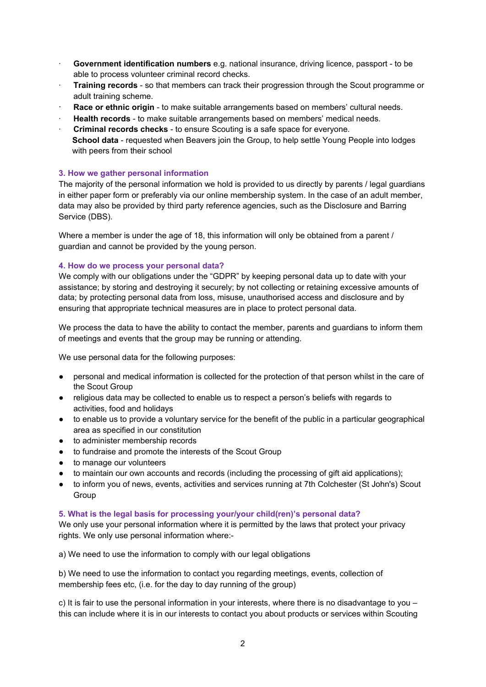- · **Government identification numbers** e.g. national insurance, driving licence, passport to be able to process volunteer criminal record checks.
- · **Training records** so that members can track their progression through the Scout programme or adult training scheme.
- · **Race or ethnic origin** to make suitable arrangements based on members' cultural needs.
- · **Health records** to make suitable arrangements based on members' medical needs.
- · **Criminal records checks** to ensure Scouting is a safe space for everyone.
- **School data** requested when Beavers join the Group, to help settle Young People into lodges with peers from their school

#### **3. How we gather personal information**

The majority of the personal information we hold is provided to us directly by parents / legal guardians in either paper form or preferably via our online membership system. In the case of an adult member, data may also be provided by third party reference agencies, such as the Disclosure and Barring Service (DBS).

Where a member is under the age of 18, this information will only be obtained from a parent / guardian and cannot be provided by the young person.

#### **4. How do we process your personal data?**

We comply with our obligations under the "GDPR" by keeping personal data up to date with your assistance; by storing and destroying it securely; by not collecting or retaining excessive amounts of data; by protecting personal data from loss, misuse, unauthorised access and disclosure and by ensuring that appropriate technical measures are in place to protect personal data.

We process the data to have the ability to contact the member, parents and quardians to inform them of meetings and events that the group may be running or attending.

We use personal data for the following purposes:

- personal and medical information is collected for the protection of that person whilst in the care of the Scout Group
- religious data may be collected to enable us to respect a person's beliefs with regards to activities, food and holidays
- to enable us to provide a voluntary service for the benefit of the public in a particular geographical area as specified in our constitution
- to administer membership records
- to fundraise and promote the interests of the Scout Group
- to manage our volunteers
- to maintain our own accounts and records (including the processing of gift aid applications);
- to inform you of news, events, activities and services running at 7th Colchester (St John's) Scout Group

#### **5. What is the legal basis for processing your/your child(ren)'s personal data?**

We only use your personal information where it is permitted by the laws that protect your privacy rights. We only use personal information where:-

a) We need to use the information to comply with our legal obligations

b) We need to use the information to contact you regarding meetings, events, collection of membership fees etc, (i.e. for the day to day running of the group)

c) It is fair to use the personal information in your interests, where there is no disadvantage to you – this can include where it is in our interests to contact you about products or services within Scouting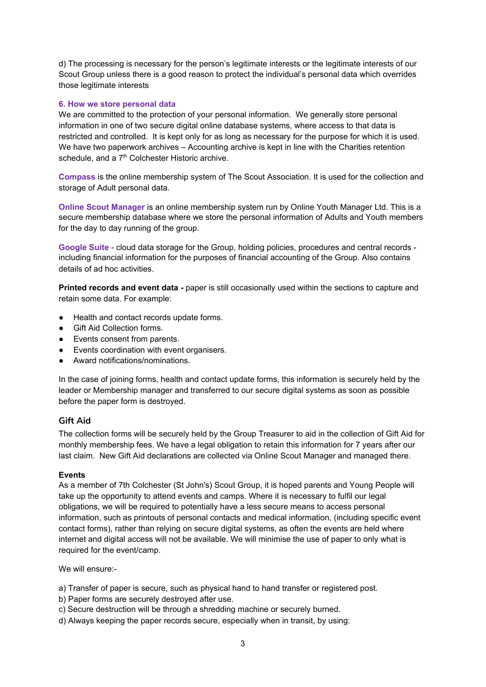d) The processing is necessary for the person's legitimate interests or the legitimate interests of our Scout Group unless there is a good reason to protect the individual's personal data which overrides those legitimate interests

#### **6. How we store personal data**

We are committed to the protection of your personal information. We generally store personal information in one of two secure digital online database systems, where access to that data is restricted and controlled. It is kept only for as long as necessary for the purpose for which it is used. We have two paperwork archives – Accounting archive is kept in line with the Charities retention schedule, and a 7<sup>th</sup> Colchester Historic archive.

**Compass** is the online membership system of The Scout Association. It is used for the collection and storage of Adult personal data.

**Online Scout Manager** is an online membership system run by Online Youth Manager Ltd. This is a secure membership database where we store the personal information of Adults and Youth members for the day to day running of the group.

**Google Suite** - cloud data storage for the Group, holding policies, procedures and central records including financial information for the purposes of financial accounting of the Group. Also contains details of ad hoc activities.

**Printed records and event data -** paper is still occasionally used within the sections to capture and retain some data. For example:

- Health and contact records update forms.
- Gift Aid Collection forms.
- Events consent from parents.
- Events coordination with event organisers.
- Award notifications/nominations

In the case of joining forms, health and contact update forms, this information is securely held by the leader or Membership manager and transferred to our secure digital systems as soon as possible before the paper form is destroyed.

## **Gift Aid**

The collection forms will be securely held by the Group Treasurer to aid in the collection of Gift Aid for monthly membership fees. We have a legal obligation to retain this information for 7 years after our last claim. New Gift Aid declarations are collected via Online Scout Manager and managed there.

#### **Events**

As a member of 7th Colchester (St John's) Scout Group, it is hoped parents and Young People will take up the opportunity to attend events and camps. Where it is necessary to fulfil our legal obligations, we will be required to potentially have a less secure means to access personal information, such as printouts of personal contacts and medical information, (including specific event contact forms), rather than relying on secure digital systems, as often the events are held where internet and digital access will not be available. We will minimise the use of paper to only what is required for the event/camp.

We will ensure:-

- a) Transfer of paper is secure, such as physical hand to hand transfer or registered post.
- b) Paper forms are securely destroyed after use.
- c) Secure destruction will be through a shredding machine or securely burned.
- d) Always keeping the paper records secure, especially when in transit, by using: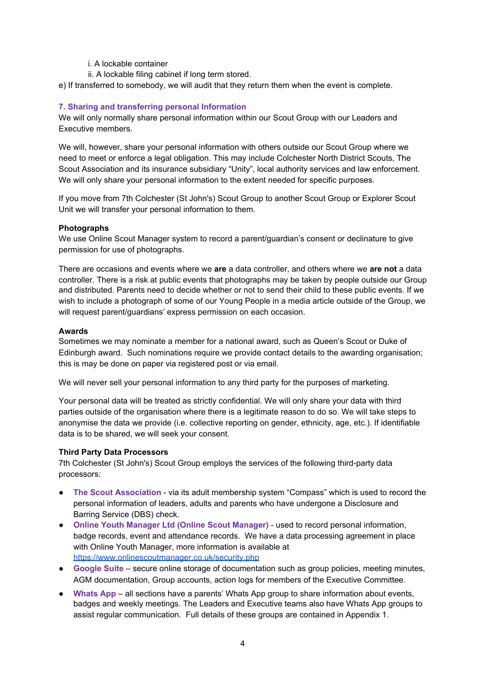- i. A lockable container
- ii. A lockable filing cabinet if long term stored.

e) If transferred to somebody, we will audit that they return them when the event is complete.

# **7. Sharing and transferring personal Information**

We will only normally share personal information within our Scout Group with our Leaders and Executive members.

We will, however, share your personal information with others outside our Scout Group where we need to meet or enforce a legal obligation. This may include Colchester North District Scouts, The Scout Association and its insurance subsidiary "Unity", local authority services and law enforcement. We will only share your personal information to the extent needed for specific purposes.

If you move from 7th Colchester (St John's) Scout Group to another Scout Group or Explorer Scout Unit we will transfer your personal information to them.

## **Photographs**

We use Online Scout Manager system to record a parent/guardian's consent or declinature to give permission for use of photographs.

There are occasions and events where we **are** a data controller, and others where we **are not** a data controller. There is a risk at public events that photographs may be taken by people outside our Group and distributed. Parents need to decide whether or not to send their child to these public events. If we wish to include a photograph of some of our Young People in a media article outside of the Group, we will request parent/guardians' express permission on each occasion.

#### **Awards**

Sometimes we may nominate a member for a national award, such as Queen's Scout or Duke of Edinburgh award. Such nominations require we provide contact details to the awarding organisation; this is may be done on paper via registered post or via email.

We will never sell your personal information to any third party for the purposes of marketing.

Your personal data will be treated as strictly confidential. We will only share your data with third parties outside of the organisation where there is a legitimate reason to do so. We will take steps to anonymise the data we provide (i.e. collective reporting on gender, ethnicity, age, etc.). If identifiable data is to be shared, we will seek your consent.

## **Third Party Data Processors**

7th Colchester (St John's) Scout Group employs the services of the following third-party data processors:

- **The Scout Association** via its adult membership system "Compass" which is used to record the personal information of leaders, adults and parents who have undergone a Disclosure and Barring Service (DBS) check.
- **Online Youth Manager Ltd (Online Scout Manager)** used to record personal information, badge records, event and attendance records. We have a data processing agreement in place with Online Youth Manager, more information is available at <https://www.onlinescoutmanager.co.uk/security.php>
- **Google Suite –** secure online storage of documentation such as group policies, meeting minutes, AGM documentation, Group accounts, action logs for members of the Executive Committee.
- **Whats App** all sections have a parents' Whats App group to share information about events, badges and weekly meetings. The Leaders and Executive teams also have Whats App groups to assist regular communication. Full details of these groups are contained in Appendix 1.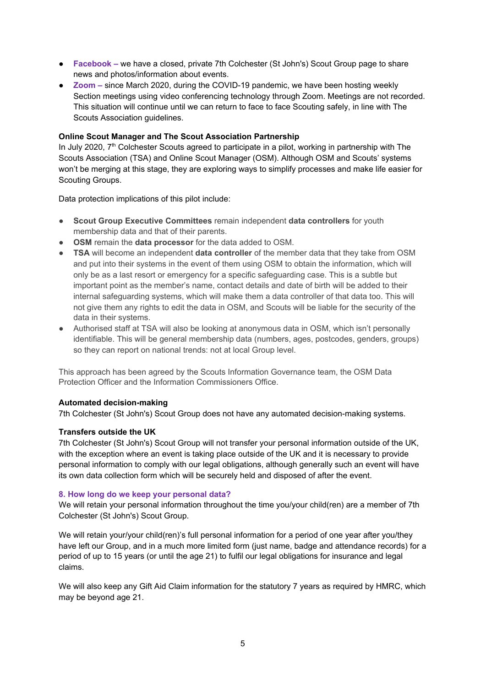- **Facebook** we have a closed, private 7th Colchester (St John's) Scout Group page to share news and photos/information about events.
- **Zoom –** since March 2020, during the COVID-19 pandemic, we have been hosting weekly Section meetings using video conferencing technology through Zoom. Meetings are not recorded. This situation will continue until we can return to face to face Scouting safely, in line with The Scouts Association guidelines.

## **Online Scout Manager and The Scout Association Partnership**

In July 2020, 7<sup>th</sup> Colchester Scouts agreed to participate in a pilot, working in partnership with The Scouts Association (TSA) and Online Scout Manager (OSM). Although OSM and Scouts' systems won't be merging at this stage, they are exploring ways to simplify processes and make life easier for Scouting Groups.

Data protection implications of this pilot include:

- **Scout Group Executive Committees** remain independent **data controllers** for youth membership data and that of their parents.
- **OSM** remain the **data processor** for the data added to OSM.
- **TSA** will become an independent **data controller** of the member data that they take from OSM and put into their systems in the event of them using OSM to obtain the information, which will only be as a last resort or emergency for a specific safeguarding case. This is a subtle but important point as the member's name, contact details and date of birth will be added to their internal safeguarding systems, which will make them a data controller of that data too. This will not give them any rights to edit the data in OSM, and Scouts will be liable for the security of the data in their systems.
- Authorised staff at TSA will also be looking at anonymous data in OSM, which isn't personally identifiable. This will be general membership data (numbers, ages, postcodes, genders, groups) so they can report on national trends: not at local Group level.

This approach has been agreed by the Scouts Information Governance team, the OSM Data Protection Officer and the Information Commissioners Office.

## **Automated decision-making**

7th Colchester (St John's) Scout Group does not have any automated decision-making systems.

## **Transfers outside the UK**

7th Colchester (St John's) Scout Group will not transfer your personal information outside of the UK, with the exception where an event is taking place outside of the UK and it is necessary to provide personal information to comply with our legal obligations, although generally such an event will have its own data collection form which will be securely held and disposed of after the event.

#### **8. How long do we keep your personal data?**

We will retain your personal information throughout the time you/your child(ren) are a member of 7th Colchester (St John's) Scout Group.

We will retain your/your child(ren)'s full personal information for a period of one year after you/they have left our Group, and in a much more limited form (just name, badge and attendance records) for a period of up to 15 years (or until the age 21) to fulfil our legal obligations for insurance and legal claims.

We will also keep any Gift Aid Claim information for the statutory 7 years as required by HMRC, which may be beyond age 21.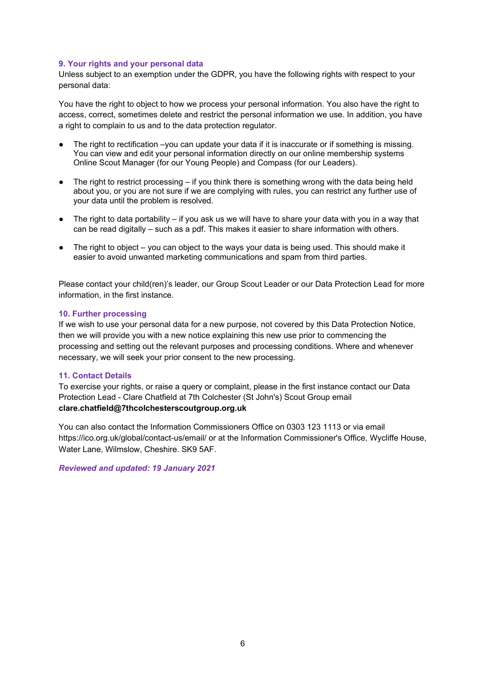#### **9. Your rights and your personal data**

Unless subject to an exemption under the GDPR, you have the following rights with respect to your personal data:

You have the right to object to how we process your personal information. You also have the right to access, correct, sometimes delete and restrict the personal information we use. In addition, you have a right to complain to us and to the data protection regulator.

- The right to rectification –you can update your data if it is inaccurate or if something is missing. You can view and edit your personal information directly on our online membership systems Online Scout Manager (for our Young People) and Compass (for our Leaders).
- The right to restrict processing  $-$  if you think there is something wrong with the data being held about you, or you are not sure if we are complying with rules, you can restrict any further use of your data until the problem is resolved.
- The right to data portability if you ask us we will have to share your data with you in a way that can be read digitally – such as a pdf. This makes it easier to share information with others.
- $\bullet$  The right to object you can object to the ways your data is being used. This should make it easier to avoid unwanted marketing communications and spam from third parties.

Please contact your child(ren)'s leader, our Group Scout Leader or our Data Protection Lead for more information, in the first instance.

#### **10. Further processing**

If we wish to use your personal data for a new purpose, not covered by this Data Protection Notice, then we will provide you with a new notice explaining this new use prior to commencing the processing and setting out the relevant purposes and processing conditions. Where and whenever necessary, we will seek your prior consent to the new processing.

#### **11. Contact Details**

To exercise your rights, or raise a query or complaint, please in the first instance contact our Data Protection Lead - Clare Chatfield at 7th Colchester (St John's) Scout Group email **clare.chatfield@7thcolchesterscoutgroup.org.uk**

You can also contact the Information Commissioners Office on 0303 123 1113 or via email https://ico.org.uk/global/contact-us/email/ or at the Information Commissioner's Office, Wycliffe House, Water Lane, Wilmslow, Cheshire. SK9 5AF.

*Reviewed and updated: 19 January 2021*